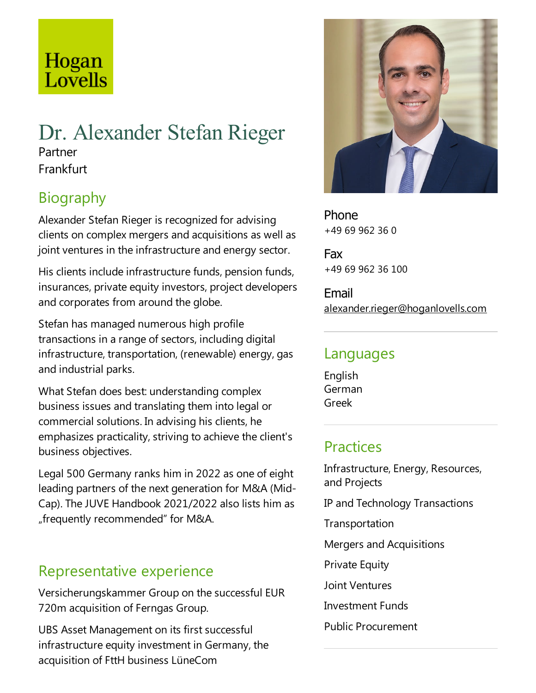# Hogan Lovells

# Dr. Alexander Stefan Rieger Partner Frankfurt

# Biography

Alexander Stefan Rieger is recognized for advising clients on complex mergers and acquisitions as well as joint ventures in the infrastructure and energy sector.

His clients include infrastructure funds, pension funds, insurances, private equity investors, project developers and corporates from around the globe.

Stefan has managed numerous high profile transactions in a range of sectors, including digital infrastructure, transportation, (renewable) energy, gas and industrial parks.

What Stefan does best: understanding complex business issues and translating them into legal or commercial solutions. In advising his clients, he emphasizes practicality, striving to achieve the client's business objectives.

Legal 500 Germany ranks him in 2022 as one of eight leading partners of the next generation for M&A (Mid-Cap). The JUVE Handbook 2021/2022 also lists him as "frequently recommended" for M&A.

## Representative experience

Versicherungskammer Group on the successful EUR 720m acquisition of Ferngas Group.

UBS Asset Management on its first successful infrastructure equity investment in Germany, the acquisition of FttH business LüneCom



Phone +49 69 962 36 0

Fax +49 69 962 36 100

Email alexander.rieger@hoganlovells.com

#### Languages

English German Greek

# **Practices**

Infrastructure, Energy, Resources, and Projects IP and Technology Transactions Transportation Mergers and Acquisitions **Private Equity** Joint Ventures **Investment Funds** Public Procurement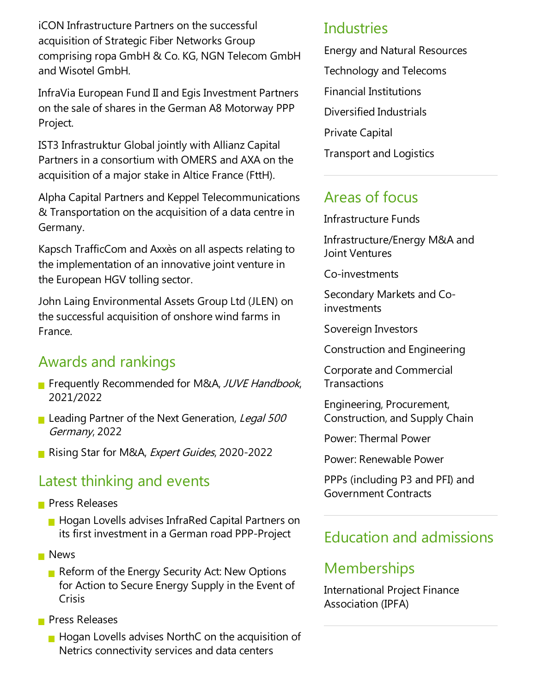iCON Infrastructure Partners on the successful acquisition of Strategic Fiber Networks Group comprising ropa GmbH & Co. KG, NGN Telecom GmbH and Wisotel GmbH.

InfraVia European Fund II and Egis Investment Partners on the sale of shares in the German A8 Motorway PPP Project.

IST3 Infrastruktur Global jointly with Allianz Capital Partners in aconsortium with OMERS and AXA on the acquisition of a major stake in Altice France (FttH).

Alpha Capital Partners and Keppel Telecommunications & Transportation on the acquisition of a data centre in Germany.

Kapsch TrafficCom and Axxès on all aspects relating to the implementation of an innovative joint venture in the European HGV tolling sector.

John Laing Environmental Assets Group Ltd (JLEN) on the successful acquisition of onshore wind farms in France.

# Awards and rankings

- **Filter Frequently Recommended for M&A, JUVE Handbook,** 2021/2022
- Leading Partner of the Next Generation, Legal 500 Germany, 2022
- Rising Star for M&A, Expert Guides, 2020-2022

#### Latest thinking and events

- **Press Releases** 
	- **Hogan Lovells advises InfraRed Capital Partners on** its first investment in a German road PPP-Project
- **News** 
	- Reform of the Energy Security Act: New Options for Action to Secure Energy Supply in the Event of Crisis
- **Press Releases** 
	- $\blacksquare$  Hogan Lovells advises NorthC on the acquisition of Netrics connectivity services and data centers

#### Industries

Energy and Natural Resources Technology and Telecoms Financial Institutions Diversified Industrials Private Capital **Transport and Logistics** 

### Areas of focus

Infrastructure Funds

Infrastructure/Energy M&A and Joint Ventures

Co-investments

Secondary Markets and Coinvestments

Sovereign Investors

Construction and Engineering

Corporate and Commercial **Transactions** 

Engineering, Procurement, Construction,and Supply Chain

Power: Thermal Power

Power: Renewable Power

PPPs (including P3 and PFI) and Government Contracts

## Education and admissions

#### **Memberships**

International Project Finance Association (IPFA)